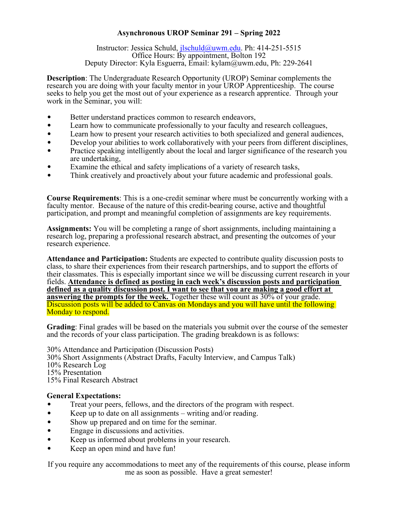## **Asynchronous UROP Seminar 291 – Spring 2022**

Instructor: Jessica Schuld, [jlschuld@uwm.edu.](mailto:jlschuld@uwm.edu) Ph: 414-251-5515 Office Hours: By appointment, Bolton 192 Deputy Director: Kyla Esguerra, Email: kylam@uwm.edu, Ph: 229-2641

**Description**: The Undergraduate Research Opportunity (UROP) Seminar complements the research you are doing with your faculty mentor in your UROP Apprenticeship. The course seeks to help you get the most out of your experience as a research apprentice. Through your work in the Seminar, you will:

- Better understand practices common to research endeavors,
- Learn how to communicate professionally to your faculty and research colleagues,
- Learn how to present your research activities to both specialized and general audiences,
- Develop your abilities to work collaboratively with your peers from different disciplines,
- Practice speaking intelligently about the local and larger significance of the research you are undertaking,
- Examine the ethical and safety implications of a variety of research tasks,
- Think creatively and proactively about your future academic and professional goals.

**Course Requirements**: This is a one-credit seminar where must be concurrently working with a faculty mentor. Because of the nature of this credit-bearing course, active and thoughtful participation, and prompt and meaningful completion of assignments are key requirements.

**Assignments:** You will be completing a range of short assignments, including maintaining a research log, preparing a professional research abstract, and presenting the outcomes of your research experience.

**Attendance and Participation:** Students are expected to contribute quality discussion posts to class, to share their experiences from their research partnerships, and to support the efforts of their classmates. This is especially important since we will be discussing current research in your fields. **Attendance is defined as posting in each week's discussion posts and participation defined as a quality discussion post. I want to see that you are making a good effort at answering the prompts for the week.** Together these will count as 30% of your grade. Discussion posts will be added to Canvas on Mondays and you will have until the following Monday to respond.

**Grading**: Final grades will be based on the materials you submit over the course of the semester and the records of your class participation. The grading breakdown is as follows:

30% Attendance and Participation (Discussion Posts) 30% Short Assignments (Abstract Drafts, Faculty Interview, and Campus Talk) 10% Research Log 15% Presentation 15% Final Research Abstract

## **General Expectations:**

- Treat your peers, fellows, and the directors of the program with respect.
- Keep up to date on all assignments writing and/or reading.
- Show up prepared and on time for the seminar.
- Engage in discussions and activities.
- Keep us informed about problems in your research.
- Keep an open mind and have fun!

If you require any accommodations to meet any of the requirements of this course, please inform me as soon as possible. Have a great semester!